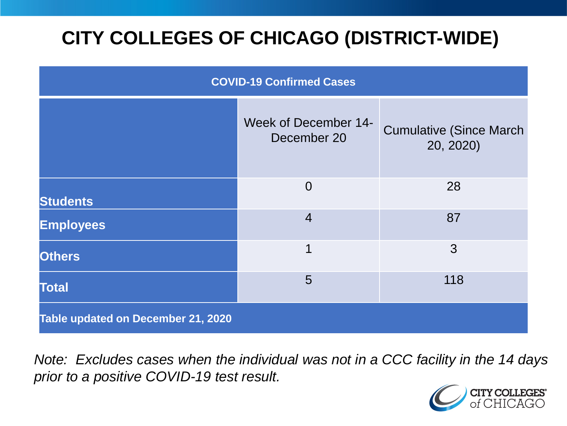# **CITY COLLEGES OF CHICAGO (DISTRICT-WIDE)**

| <b>COVID-19 Confirmed Cases</b>    |                                     |                                              |
|------------------------------------|-------------------------------------|----------------------------------------------|
|                                    | Week of December 14-<br>December 20 | <b>Cumulative (Since March)</b><br>20, 2020) |
| <b>Students</b>                    | $\Omega$                            | 28                                           |
| <b>Employees</b>                   | $\overline{4}$                      | 87                                           |
| <b>Others</b>                      | 1                                   | 3                                            |
| <b>Total</b>                       | 5                                   | 118                                          |
| Table updated on December 21, 2020 |                                     |                                              |

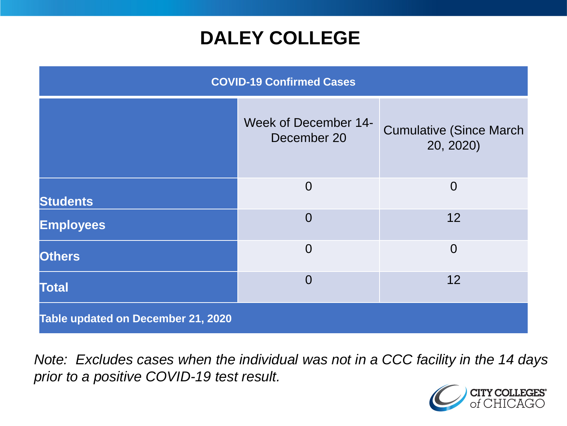## **DALEY COLLEGE**

| <b>COVID-19 Confirmed Cases</b>    |                                            |                                              |
|------------------------------------|--------------------------------------------|----------------------------------------------|
|                                    | <b>Week of December 14-</b><br>December 20 | <b>Cumulative (Since March)</b><br>20, 2020) |
| <b>Students</b>                    | $\Omega$                                   | $\overline{0}$                               |
| <b>Employees</b>                   | $\overline{0}$                             | 12                                           |
| <b>Others</b>                      | $\overline{0}$                             | $\overline{0}$                               |
| <b>Total</b>                       | $\Omega$                                   | 12                                           |
| Table updated on December 21, 2020 |                                            |                                              |

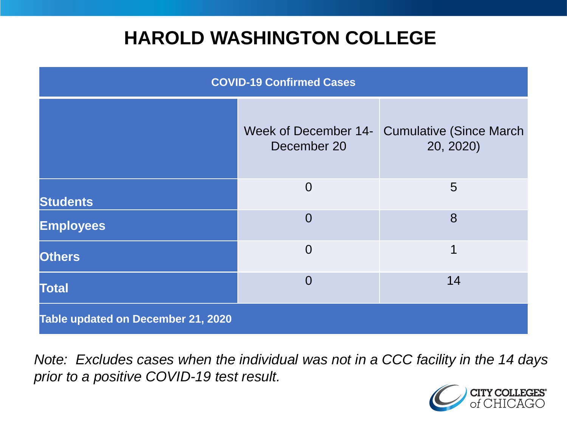## **HAROLD WASHINGTON COLLEGE**

| <b>COVID-19 Confirmed Cases</b>    |                                     |                                              |
|------------------------------------|-------------------------------------|----------------------------------------------|
|                                    | Week of December 14-<br>December 20 | <b>Cumulative (Since March)</b><br>20, 2020) |
| <b>Students</b>                    | $\overline{0}$                      | 5                                            |
| <b>Employees</b>                   | $\Omega$                            | 8                                            |
| <b>Others</b>                      | $\overline{0}$                      | 1                                            |
| <b>Total</b>                       | $\Omega$                            | 14                                           |
| Table updated on December 21, 2020 |                                     |                                              |

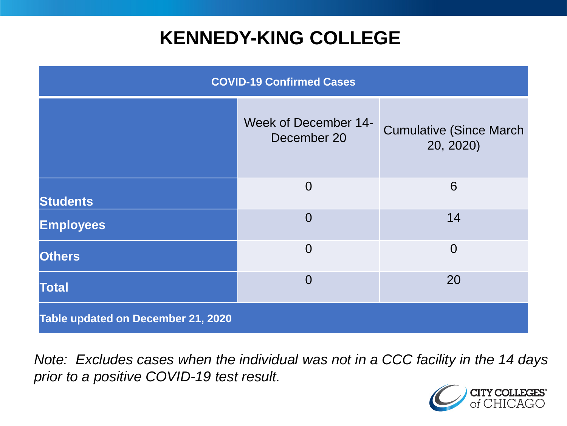## **KENNEDY-KING COLLEGE**

| <b>COVID-19 Confirmed Cases</b>    |                                            |                                              |
|------------------------------------|--------------------------------------------|----------------------------------------------|
|                                    | <b>Week of December 14-</b><br>December 20 | <b>Cumulative (Since March)</b><br>20, 2020) |
| <b>Students</b>                    | $\Omega$                                   | 6                                            |
| <b>Employees</b>                   | $\overline{0}$                             | 14                                           |
| <b>Others</b>                      | $\overline{0}$                             | $\overline{0}$                               |
| <b>Total</b>                       | $\overline{0}$                             | 20                                           |
| Table updated on December 21, 2020 |                                            |                                              |

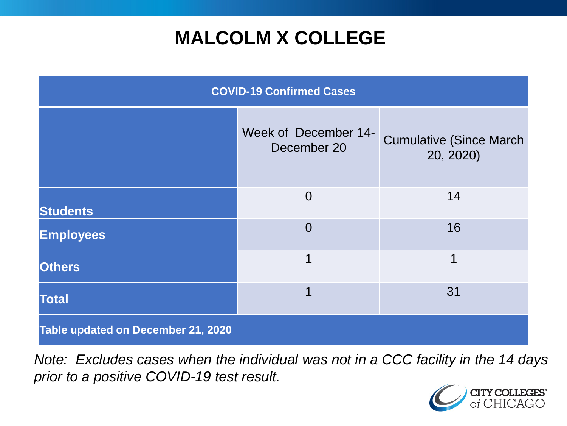# **MALCOLM X COLLEGE**

| <b>COVID-19 Confirmed Cases</b>    |                                     |                                             |
|------------------------------------|-------------------------------------|---------------------------------------------|
|                                    | Week of December 14-<br>December 20 | <b>Cumulative (Since March</b><br>20, 2020) |
| <b>Students</b>                    | $\overline{0}$                      | 14                                          |
| <b>Employees</b>                   | $\Omega$                            | 16                                          |
| <b>Others</b>                      | 1                                   | 1                                           |
| <b>Total</b>                       | 1                                   | 31                                          |
| Table updated on December 21, 2020 |                                     |                                             |

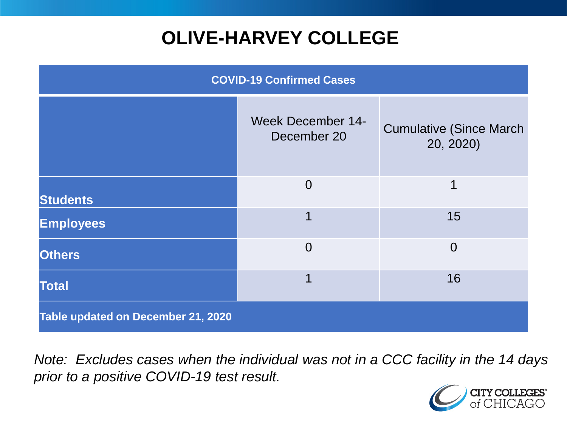# **OLIVE-HARVEY COLLEGE**

| <b>COVID-19 Confirmed Cases</b>    |                                         |                                              |
|------------------------------------|-----------------------------------------|----------------------------------------------|
|                                    | <b>Week December 14-</b><br>December 20 | <b>Cumulative (Since March)</b><br>20, 2020) |
| <b>Students</b>                    | $\overline{0}$                          | 1                                            |
| <b>Employees</b>                   |                                         | 15                                           |
| <b>Others</b>                      | $\overline{0}$                          | $\overline{0}$                               |
| <b>Total</b>                       |                                         | 16                                           |
| Table updated on December 21, 2020 |                                         |                                              |

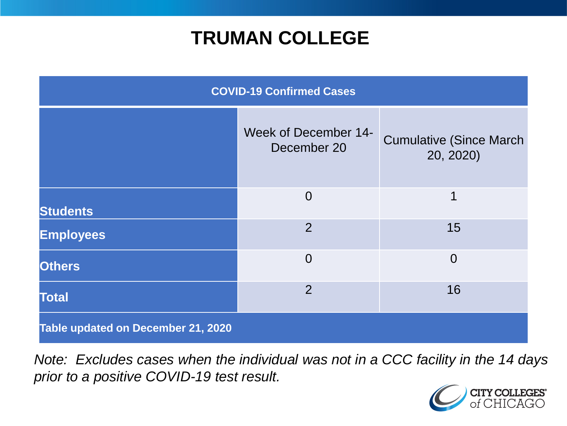## **TRUMAN COLLEGE**

| <b>COVID-19 Confirmed Cases</b>    |                                            |                                              |
|------------------------------------|--------------------------------------------|----------------------------------------------|
|                                    | <b>Week of December 14-</b><br>December 20 | <b>Cumulative (Since March)</b><br>20, 2020) |
| <b>Students</b>                    | $\overline{0}$                             | 1                                            |
| <b>Employees</b>                   | $\overline{2}$                             | 15                                           |
| <b>Others</b>                      | $\Omega$                                   | $\overline{0}$                               |
| <b>Total</b>                       | $\overline{2}$                             | 16                                           |
| Table updated on December 21, 2020 |                                            |                                              |

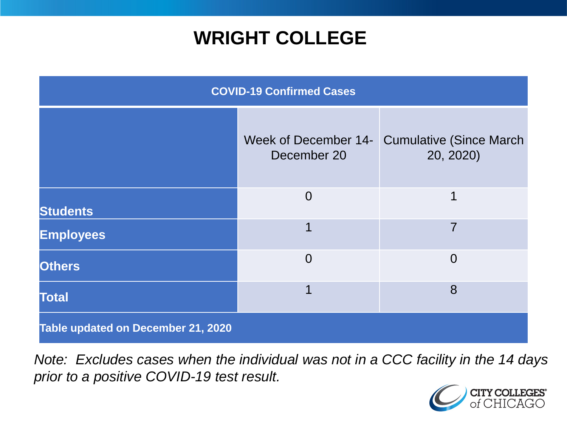## **WRIGHT COLLEGE**

| <b>COVID-19 Confirmed Cases</b>    |                |                                                           |
|------------------------------------|----------------|-----------------------------------------------------------|
|                                    | December 20    | Week of December 14- Cumulative (Since March<br>20, 2020) |
| <b>Students</b>                    | $\overline{0}$ | 1                                                         |
| <b>Employees</b>                   |                | 7                                                         |
| <b>Others</b>                      | $\overline{0}$ | $\Omega$                                                  |
| <b>Total</b>                       |                | 8                                                         |
| Table updated on December 21, 2020 |                |                                                           |